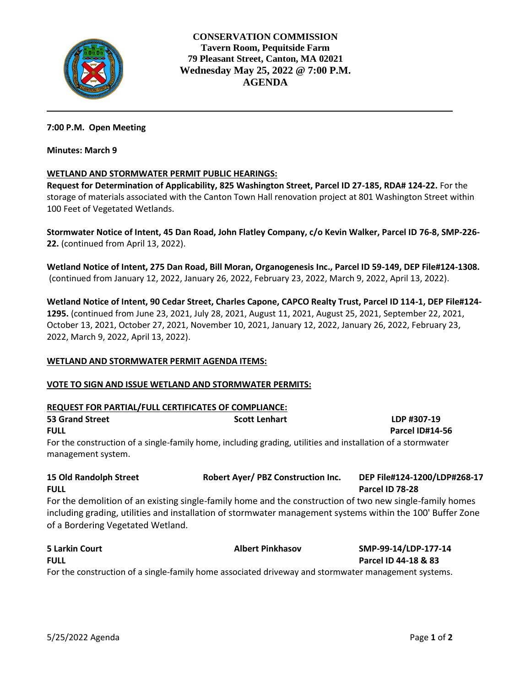

**CONSERVATION COMMISSION Tavern Room, Pequitside Farm 79 Pleasant Street, Canton, MA 02021 Wednesday May 25, 2022 @ 7:00 P.M. AGENDA** 

### **7:00 P.M. Open Meeting**

#### **Minutes: March 9**

### **WETLAND AND STORMWATER PERMIT PUBLIC HEARINGS:**

**Request for Determination of Applicability, 825 Washington Street, Parcel ID 27-185, RDA# 124-22.** For the storage of materials associated with the Canton Town Hall renovation project at 801 Washington Street within 100 Feet of Vegetated Wetlands.

**Stormwater Notice of Intent, 45 Dan Road, John Flatley Company, c/o Kevin Walker, Parcel ID 76-8, SMP-226- 22.** (continued from April 13, 2022).

**Wetland Notice of Intent, 275 Dan Road, Bill Moran, Organogenesis Inc., Parcel ID 59-149, DEP File#124-1308.** (continued from January 12, 2022, January 26, 2022, February 23, 2022, March 9, 2022, April 13, 2022).

**Wetland Notice of Intent, 90 Cedar Street, Charles Capone, CAPCO Realty Trust, Parcel ID 114-1, DEP File#124- 1295.** (continued from June 23, 2021, July 28, 2021, August 11, 2021, August 25, 2021, September 22, 2021, October 13, 2021, October 27, 2021, November 10, 2021, January 12, 2022, January 26, 2022, February 23, 2022, March 9, 2022, April 13, 2022).

### **WETLAND AND STORMWATER PERMIT AGENDA ITEMS:**

### **VOTE TO SIGN AND ISSUE WETLAND AND STORMWATER PERMITS:**

#### **REQUEST FOR PARTIAL/FULL CERTIFICATES OF COMPLIANCE:**

| <b>53 Grand Street</b>        | <b>Scott Lenhart</b>                                                                                        | LDP #307-19                  |  |
|-------------------------------|-------------------------------------------------------------------------------------------------------------|------------------------------|--|
| <b>FULL</b>                   |                                                                                                             | <b>Parcel ID#14-56</b>       |  |
| management system.            | For the construction of a single-family home, including grading, utilities and installation of a stormwater |                              |  |
| <b>15 Old Randolph Street</b> | Robert Ayer/ PBZ Construction Inc.                                                                          | DEP File#124-1200/LDP#268-17 |  |

**FULL Parcel ID 78-28** For the demolition of an existing single-family home and the construction of two new single-family homes including grading, utilities and installation of stormwater management systems within the 100' Buffer Zone of a Bordering Vegetated Wetland.

| <b>5 Larkin Court</b>                                                                               | <b>Albert Pinkhasov</b> | SMP-99-14/LDP-177-14 |  |
|-----------------------------------------------------------------------------------------------------|-------------------------|----------------------|--|
| <b>FULL</b>                                                                                         |                         | Parcel ID 44-18 & 83 |  |
| For the construction of a single-family home associated driveway and stormwater management systems. |                         |                      |  |